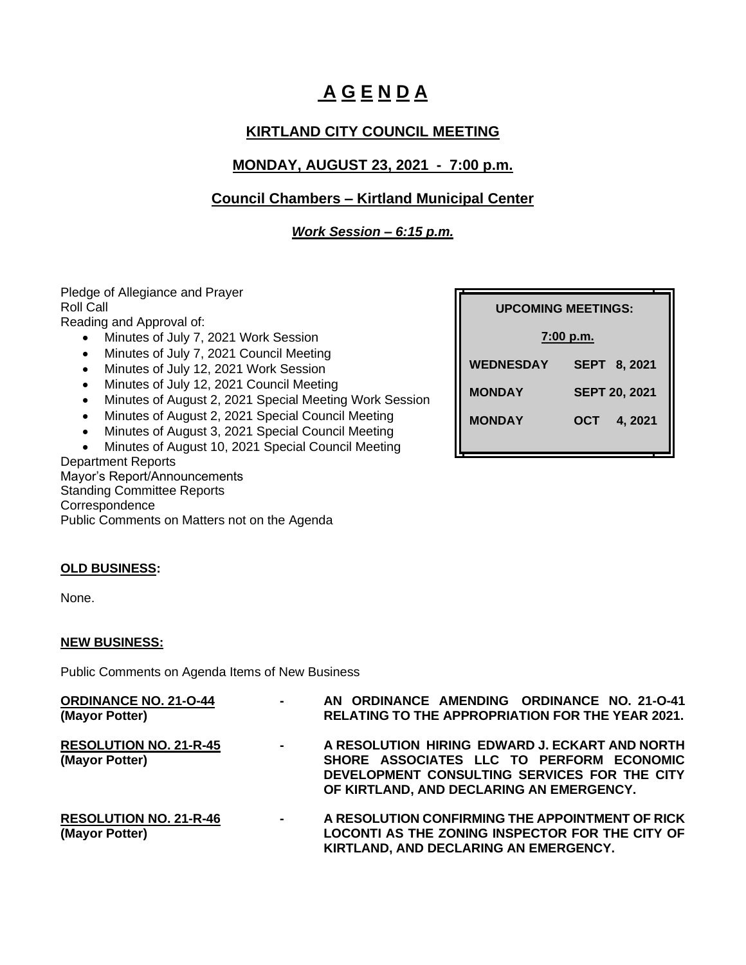# **A G E N D A**

## **KIRTLAND CITY COUNCIL MEETING**

## **MONDAY, AUGUST 23, 2021 - 7:00 p.m.**

## **Council Chambers – Kirtland Municipal Center**

### *Work Session – 6:15 p.m.*

Pledge of Allegiance and Prayer Roll Call

Reading and Approval of:

- Minutes of July 7, 2021 Work Session
- Minutes of July 7, 2021 Council Meeting
- Minutes of July 12, 2021 Work Session
- Minutes of July 12, 2021 Council Meeting
- Minutes of August 2, 2021 Special Meeting Work Session
- Minutes of August 2, 2021 Special Council Meeting
- Minutes of August 3, 2021 Special Council Meeting
- Minutes of August 10, 2021 Special Council Meeting

Department Reports Mayor's Report/Announcements Standing Committee Reports Correspondence Public Comments on Matters not on the Agenda

| <b>UPCOMING MEETINGS:</b> |                      |  |
|---------------------------|----------------------|--|
| 7:00 p.m.                 |                      |  |
| <b>WEDNESDAY</b>          | <b>SEPT 8, 2021</b>  |  |
| <b>MONDAY</b>             | <b>SEPT 20, 2021</b> |  |
| <b>MONDAY</b>             | OCT<br>4, 2021       |  |

#### **OLD BUSINESS:**

None.

#### **NEW BUSINESS:**

Public Comments on Agenda Items of New Business

| <b>ORDINANCE NO. 21-O-44</b><br>(Mayor Potter)  | $\sim$         | AN ORDINANCE AMENDING ORDINANCE NO. 21-0-41<br><b>RELATING TO THE APPROPRIATION FOR THE YEAR 2021.</b>                                                                                 |
|-------------------------------------------------|----------------|----------------------------------------------------------------------------------------------------------------------------------------------------------------------------------------|
| <b>RESOLUTION NO. 21-R-45</b><br>(Mayor Potter) | $\sim 100$     | A RESOLUTION HIRING EDWARD J. ECKART AND NORTH<br>SHORE ASSOCIATES LLC TO PERFORM ECONOMIC<br>DEVELOPMENT CONSULTING SERVICES FOR THE CITY<br>OF KIRTLAND, AND DECLARING AN EMERGENCY. |
| <b>RESOLUTION NO. 21-R-46</b><br>(Mayor Potter) | $\blacksquare$ | A RESOLUTION CONFIRMING THE APPOINTMENT OF RICK<br>LOCONTI AS THE ZONING INSPECTOR FOR THE CITY OF<br>KIRTLAND, AND DECLARING AN EMERGENCY.                                            |